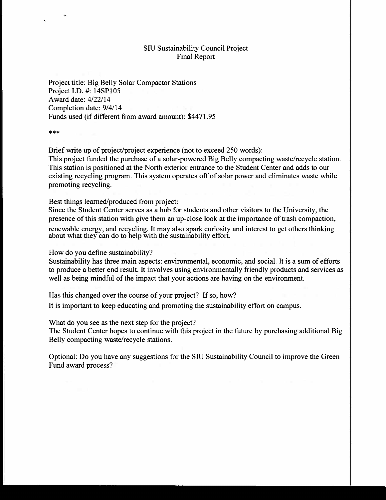## SIU Sustainability Council Project Final Report

Project title: Big Belly Solar Compactor Stations Project I.D. #: 14SPI05 Award date: 4/22/14 Completion date: 9/4/14 Funds used (if different from award amount): \$4471.95

\*\*\*

Brief write up of project/project experience (not to exceed 250 words): This project funded the purchase of a solar-powered Big Belly compacting waste/recycle station. This station is positioned at the North exterior entrance to the Student Center and adds to our existing recycling program. This system operates off of solar power and eliminates waste while promoting recycling.

Best things learned/produced from project:

Since the Student Center serves as a hub for students and other visitors to the University, the presence of this station with give them an up-close look at the importance of trash compaction,

renewable energy, and recycling. **It** may also spark curiosity and interest to get others thinking about what they can do to help with the sustainability effort.

How do you define sustainability?

Sustainability has three main aspects: environmental, economic, and social. It is a sum of efforts to produce a better end result. It involves using environmentally friendly products and services as well as being mindful of the impact that your actions are having on the environment.

Has this changed over the course of your project? If so, how?

**It** is important to keep educating and promoting the sustainability effort on campus.

What do you see as the next step for the project?

The Student Center hopes to continue with this project in the future by purchasing additional Big Belly compacting waste/recycle stations.

Optional: Do you have any suggestions for the SIU Sustainability Council to improve the Green Fund award process?